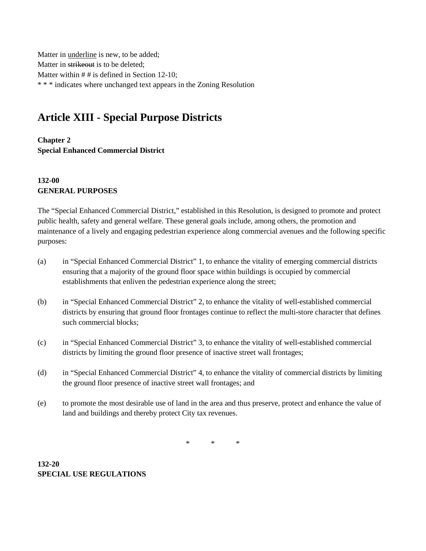Matter in underline is new, to be added; Matter in strikeout is to be deleted; Matter within # # is defined in Section 12-10; \* \* \* indicates where unchanged text appears in the Zoning Resolution

# **Article XIII - Special Purpose Districts**

#### **Chapter 2 Special Enhanced Commercial District**

## **132-00 GENERAL PURPOSES**

The "Special Enhanced Commercial District," established in this Resolution, is designed to promote and protect public health, safety and general welfare. These general goals include, among others, the promotion and maintenance of a lively and engaging pedestrian experience along commercial avenues and the following specific purposes:

- (a) in "Special Enhanced Commercial District" 1, to enhance the vitality of emerging commercial districts ensuring that a majority of the ground floor space within buildings is occupied by commercial establishments that enliven the pedestrian experience along the street;
- (b) in "Special Enhanced Commercial District" 2, to enhance the vitality of well-established commercial districts by ensuring that ground floor frontages continue to reflect the multi-store character that defines such commercial blocks;
- (c) in "Special Enhanced Commercial District" 3, to enhance the vitality of well-established commercial districts by limiting the ground floor presence of inactive street wall frontages;
- (d) in "Special Enhanced Commercial District" 4, to enhance the vitality of commercial districts by limiting the ground floor presence of inactive street wall frontages; and
- (e) to promote the most desirable use of land in the area and thus preserve, protect and enhance the value of land and buildings and thereby protect City tax revenues.

\* \* \*

**132-20 SPECIAL USE REGULATIONS**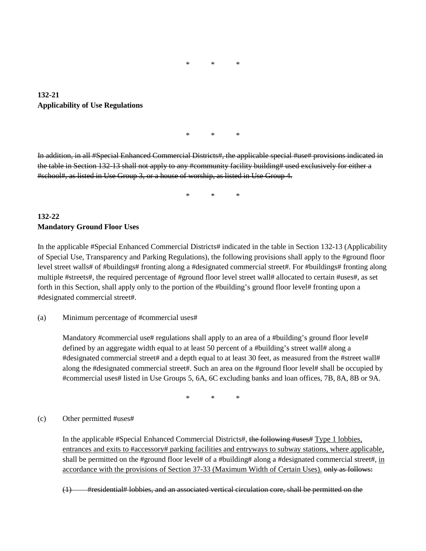\* \* \*

# **132-21 Applicability of Use Regulations**

\* \* \*

In addition, in all #Special Enhanced Commercial Districts#, the applicable special #use# provisions indicated in the table in Section 132-13 shall not apply to any #community facility building# used exclusively for either a #school#, as listed in Use Group 3, or a house of worship, as listed in Use Group 4.

\* \* \*

#### **132-22 Mandatory Ground Floor Uses**

In the applicable #Special Enhanced Commercial Districts# indicated in the table in Section 132-13 (Applicability of Special Use, Transparency and Parking Regulations), the following provisions shall apply to the #ground floor level street walls# of #buildings# fronting along a #designated commercial street#. For #buildings# fronting along multiple #streets#, the required percentage of #ground floor level street wall# allocated to certain #uses#, as set forth in this Section, shall apply only to the portion of the #building's ground floor level# fronting upon a #designated commercial street#.

#### (a) Minimum percentage of #commercial uses#

Mandatory #commercial use# regulations shall apply to an area of a #building's ground floor level# defined by an aggregate width equal to at least 50 percent of a #building's street wall# along a #designated commercial street# and a depth equal to at least 30 feet, as measured from the #street wall# along the #designated commercial street#. Such an area on the #ground floor level# shall be occupied by #commercial uses# listed in Use Groups 5, 6A, 6C excluding banks and loan offices, 7B, 8A, 8B or 9A.

\* \* \*

#### (c) Other permitted #uses#

In the applicable #Special Enhanced Commercial Districts#, the following #uses# Type 1 lobbies, entrances and exits to #accessory# parking facilities and entryways to subway stations, where applicable, shall be permitted on the #ground floor level# of a #building# along a #designated commercial street#, in accordance with the provisions of Section 37-33 (Maximum Width of Certain Uses). only as follows:

(1) #residential# lobbies, and an associated vertical circulation core, shall be permitted on the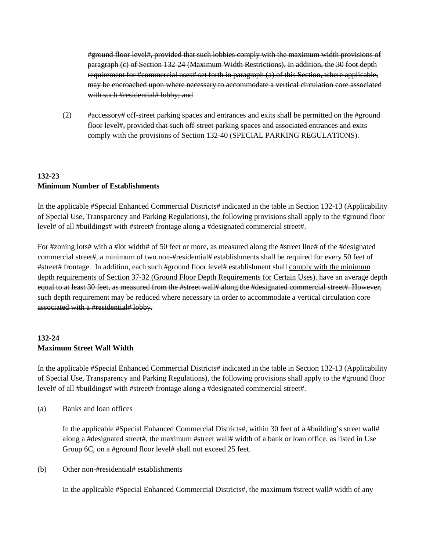#ground floor level#, provided that such lobbies comply with the maximum width provisions of paragraph (c) of Section 132-24 (Maximum Width Restrictions). In addition, the 30 foot depth requirement for #commercial uses# set forth in paragraph (a) of this Section, where applicable, may be encroached upon where necessary to accommodate a vertical circulation core associated with such #residential# lobby; and

 $(2)$  #accessory# off-street parking spaces and entrances and exits shall be permitted on the #ground floor level#, provided that such off-street parking spaces and associated entrances and exits comply with the provisions of Section 132-40 (SPECIAL PARKING REGULATIONS).

# **132-23 Minimum Number of Establishments**

In the applicable #Special Enhanced Commercial Districts# indicated in the table in Section 132-13 (Applicability of Special Use, Transparency and Parking Regulations), the following provisions shall apply to the #ground floor level# of all #buildings# with #street# frontage along a #designated commercial street#.

For #zoning lots# with a #lot width# of 50 feet or more, as measured along the #street line# of the #designated commercial street#, a minimum of two non-#residential# establishments shall be required for every 50 feet of #street# frontage. In addition, each such #ground floor level# establishment shall comply with the minimum depth requirements of Section 37-32 (Ground Floor Depth Requirements for Certain Uses). have an average depth equal to at least 30 feet, as measured from the #street wall# along the #designated commercial street#. However, such depth requirement may be reduced where necessary in order to accommodate a vertical circulation core associated with a #residential# lobby.

# **132-24 Maximum Street Wall Width**

In the applicable #Special Enhanced Commercial Districts# indicated in the table in Section 132-13 (Applicability of Special Use, Transparency and Parking Regulations), the following provisions shall apply to the #ground floor level# of all #buildings# with #street# frontage along a #designated commercial street#.

(a) Banks and loan offices

In the applicable #Special Enhanced Commercial Districts#, within 30 feet of a #building's street wall# along a #designated street#, the maximum #street wall# width of a bank or loan office, as listed in Use Group 6C, on a #ground floor level# shall not exceed 25 feet.

(b) Other non-#residential# establishments

In the applicable #Special Enhanced Commercial Districts#, the maximum #street wall# width of any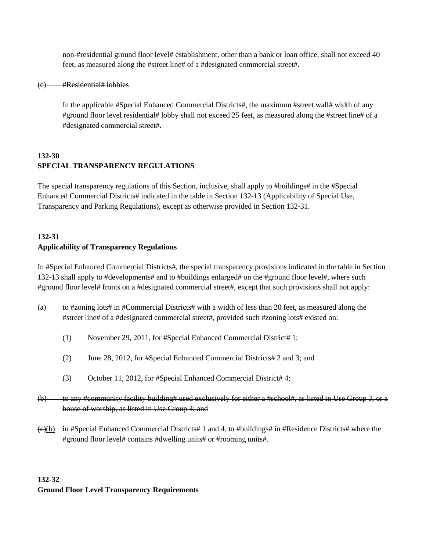non-#residential ground floor level# establishment, other than a bank or loan office, shall not exceed 40 feet, as measured along the #street line# of a #designated commercial street#.

(c) #Residential# lobbies

In the applicable #Special Enhanced Commercial Districts#, the maximum #street wall# width of any #ground floor level residential# lobby shall not exceed 25 feet, as measured along the #street line# of a #designated commercial street#.

#### **132-30 SPECIAL TRANSPARENCY REGULATIONS**

The special transparency regulations of this Section, inclusive, shall apply to #buildings# in the #Special Enhanced Commercial Districts# indicated in the table in Section 132-13 (Applicability of Special Use, Transparency and Parking Regulations), except as otherwise provided in Section 132-31.

### **132-31 Applicability of Transparency Regulations**

In #Special Enhanced Commercial Districts#, the special transparency provisions indicated in the table in Section 132-13 shall apply to #developments# and to #buildings enlarged# on the #ground floor level#, where such #ground floor level# fronts on a #designated commercial street#, except that such provisions shall not apply:

- (a) to #zoning lots# in #Commercial Districts# with a width of less than 20 feet, as measured along the #street line# of a #designated commercial street#, provided such #zoning lots# existed on:
	- (1) November 29, 2011, for #Special Enhanced Commercial District# 1;
	- (2) June 28, 2012, for #Special Enhanced Commercial Districts# 2 and 3; and
	- (3) October 11, 2012, for #Special Enhanced Commercial District# 4;
- (b) to any #community facility building# used exclusively for either a #school#, as listed in Use Group 3, or a house of worship, as listed in Use Group 4; and
- $\left(\frac{e}{e}\right)$  in #Special Enhanced Commercial Districts # 1 and 4, to #buildings # in #Residence Districts # where the #ground floor level# contains #dwelling units# or #rooming units#.

### **132-32 Ground Floor Level Transparency Requirements**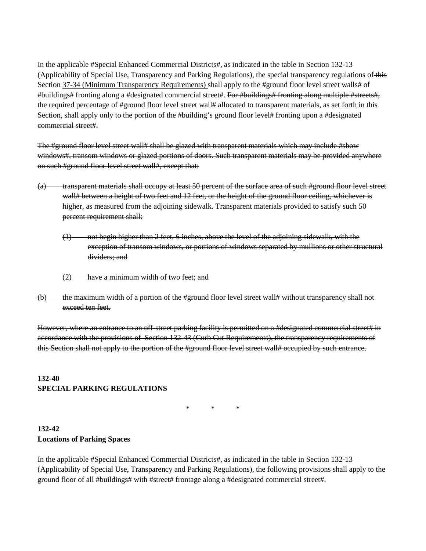In the applicable #Special Enhanced Commercial Districts#, as indicated in the table in Section 132-13 (Applicability of Special Use, Transparency and Parking Regulations), the special transparency regulations of this Section 37-34 (Minimum Transparency Requirements) shall apply to the #ground floor level street walls# of #buildings# fronting along a #designated commercial street#. For #buildings# fronting along multiple #streets#, the required percentage of #ground floor level street wall# allocated to transparent materials, as set forth in this Section, shall apply only to the portion of the #building's ground floor level# fronting upon a #designated commercial street#.

The #ground floor level street wall# shall be glazed with transparent materials which may include #show windows#, transom windows or glazed portions of doors. Such transparent materials may be provided anywhere on such #ground floor level street wall#, except that:

- (a) transparent materials shall occupy at least 50 percent of the surface area of such #ground floor level street wall# between a height of two feet and 12 feet, or the height of the ground floor ceiling, whichever is higher, as measured from the adjoining sidewalk. Transparent materials provided to satisfy such 50 percent requirement shall:
	- (1) not begin higher than 2 feet, 6 inches, above the level of the adjoining sidewalk, with the exception of transom windows, or portions of windows separated by mullions or other structural dividers; and
	- (2) have a minimum width of two feet; and
- (b) the maximum width of a portion of the #ground floor level street wall# without transparency shall not exceed ten feet.

However, where an entrance to an off-street parking facility is permitted on a #designated commercial street# in accordance with the provisions of Section 132-43 (Curb Cut Requirements), the transparency requirements of this Section shall not apply to the portion of the #ground floor level street wall# occupied by such entrance.

# **132-40 SPECIAL PARKING REGULATIONS**

\* \* \*

# **132-42 Locations of Parking Spaces**

In the applicable #Special Enhanced Commercial Districts#, as indicated in the table in Section 132-13 (Applicability of Special Use, Transparency and Parking Regulations), the following provisions shall apply to the ground floor of all #buildings# with #street# frontage along a #designated commercial street#.